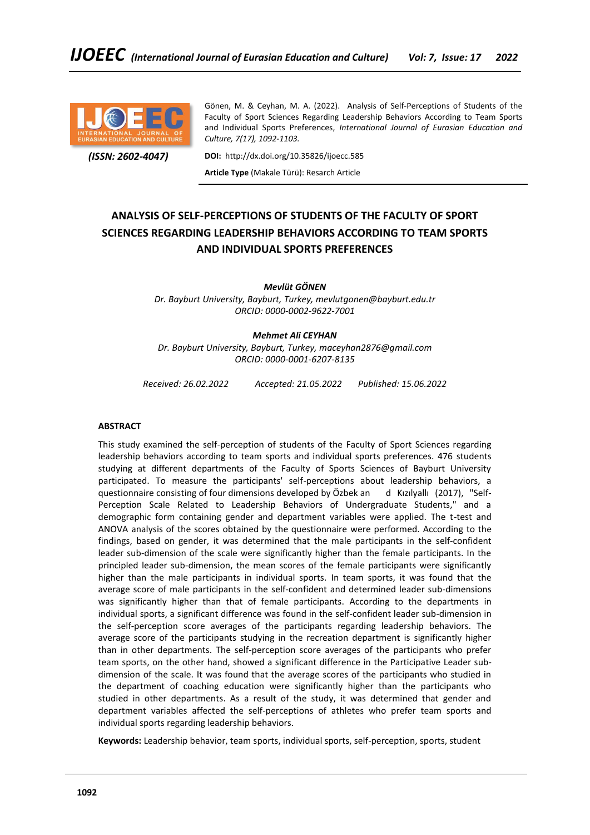

Gönen, M. & Ceyhan, M. A. (2022). Analysis of Self-Perceptions of Students of the Faculty of Sport Sciences Regarding Leadership Behaviors According to Team Sports and Individual Sports Preferences, *International Journal of Eurasian Education and Culture, 7(17), 1092-1103.*

 *(ISSN: 2602-4047)*

**DOI:** http://dx.doi.org/10.35826/ijoecc.585

**Article Type** (Makale Türü): Resarch Article

# **ANALYSIS OF SELF-PERCEPTIONS OF STUDENTS OF THE FACULTY OF SPORT SCIENCES REGARDING LEADERSHIP BEHAVIORS ACCORDING TO TEAM SPORTS AND INDIVIDUAL SPORTS PREFERENCES**

*Mevlüt GÖNEN*

*Dr. Bayburt University, Bayburt, Turkey, mevlutgonen@bayburt.edu.tr ORCID: 0000-0002-9622-7001*

# *Mehmet Ali CEYHAN*

*Dr. Bayburt University, Bayburt, Turkey, maceyhan2876@gmail.com ORCID: 0000-0001-6207-8135*

*Received: 26.02.2022 Accepted: 21.05.2022 Published: 15.06.2022*

#### **ABSTRACT**

This study examined the self-perception of students of the Faculty of Sport Sciences regarding leadership behaviors according to team sports and individual sports preferences. 476 students studying at different departments of the Faculty of Sports Sciences of Bayburt University participated. To measure the participants' self-perceptions about leadership behaviors, a questionnaire consisting of four dimensions developed by Özbek an d Kızılyallı (2017), "Self-Perception Scale Related to Leadership Behaviors of Undergraduate Students," and a demographic form containing gender and department variables were applied. The t-test and ANOVA analysis of the scores obtained by the questionnaire were performed. According to the findings, based on gender, it was determined that the male participants in the self-confident leader sub-dimension of the scale were significantly higher than the female participants. In the principled leader sub-dimension, the mean scores of the female participants were significantly higher than the male participants in individual sports. In team sports, it was found that the average score of male participants in the self-confident and determined leader sub-dimensions was significantly higher than that of female participants. According to the departments in individual sports, a significant difference was found in the self-confident leader sub-dimension in the self-perception score averages of the participants regarding leadership behaviors. The average score of the participants studying in the recreation department is significantly higher than in other departments. The self-perception score averages of the participants who prefer team sports, on the other hand, showed a significant difference in the Participative Leader subdimension of the scale. It was found that the average scores of the participants who studied in the department of coaching education were significantly higher than the participants who studied in other departments. As a result of the study, it was determined that gender and department variables affected the self-perceptions of athletes who prefer team sports and individual sports regarding leadership behaviors.

**Keywords:** Leadership behavior, team sports, individual sports, self-perception, sports, student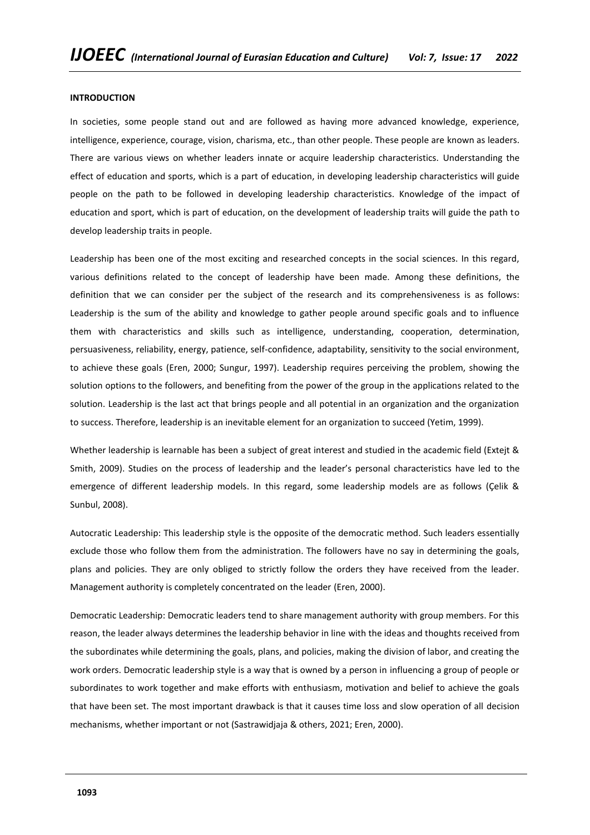#### **INTRODUCTION**

In societies, some people stand out and are followed as having more advanced knowledge, experience, intelligence, experience, courage, vision, charisma, etc., than other people. These people are known as leaders. There are various views on whether leaders innate or acquire leadership characteristics. Understanding the effect of education and sports, which is a part of education, in developing leadership characteristics will guide people on the path to be followed in developing leadership characteristics. Knowledge of the impact of education and sport, which is part of education, on the development of leadership traits will guide the path to develop leadership traits in people.

Leadership has been one of the most exciting and researched concepts in the social sciences. In this regard, various definitions related to the concept of leadership have been made. Among these definitions, the definition that we can consider per the subject of the research and its comprehensiveness is as follows: Leadership is the sum of the ability and knowledge to gather people around specific goals and to influence them with characteristics and skills such as intelligence, understanding, cooperation, determination, persuasiveness, reliability, energy, patience, self-confidence, adaptability, sensitivity to the social environment, to achieve these goals (Eren, 2000; Sungur, 1997). Leadership requires perceiving the problem, showing the solution options to the followers, and benefiting from the power of the group in the applications related to the solution. Leadership is the last act that brings people and all potential in an organization and the organization to success. Therefore, leadership is an inevitable element for an organization to succeed (Yetim, 1999).

Whether leadership is learnable has been a subject of great interest and studied in the academic field (Extejt & Smith, 2009). Studies on the process of leadership and the leader's personal characteristics have led to the emergence of different leadership models. In this regard, some leadership models are as follows (Çelik & Sunbul, 2008).

Autocratic Leadership: This leadership style is the opposite of the democratic method. Such leaders essentially exclude those who follow them from the administration. The followers have no say in determining the goals, plans and policies. They are only obliged to strictly follow the orders they have received from the leader. Management authority is completely concentrated on the leader (Eren, 2000).

Democratic Leadership: Democratic leaders tend to share management authority with group members. For this reason, the leader always determines the leadership behavior in line with the ideas and thoughts received from the subordinates while determining the goals, plans, and policies, making the division of labor, and creating the work orders. Democratic leadership style is a way that is owned by a person in influencing a group of people or subordinates to work together and make efforts with enthusiasm, motivation and belief to achieve the goals that have been set. The most important drawback is that it causes time loss and slow operation of all decision mechanisms, whether important or not (Sastrawidjaja & others, 2021; Eren, 2000).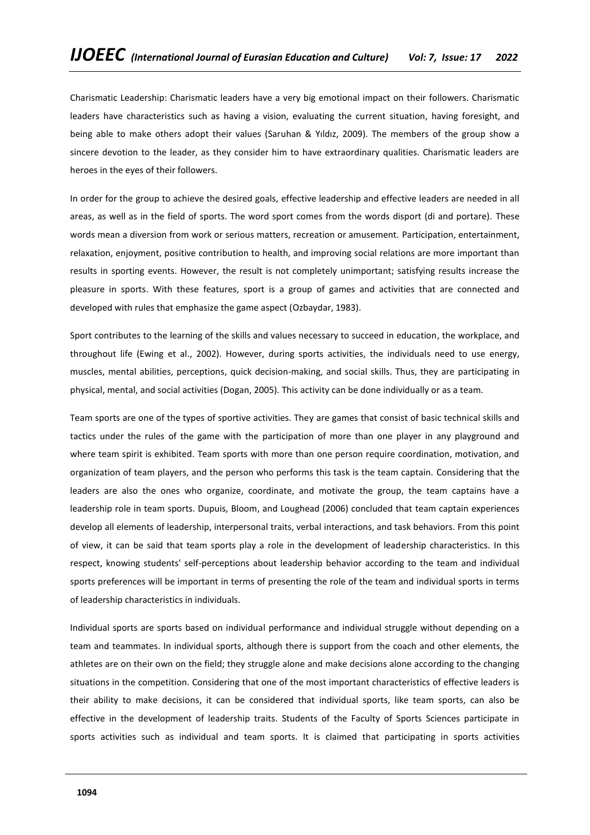Charismatic Leadership: Charismatic leaders have a very big emotional impact on their followers. Charismatic leaders have characteristics such as having a vision, evaluating the current situation, having foresight, and being able to make others adopt their values (Saruhan & Yıldız, 2009). The members of the group show a sincere devotion to the leader, as they consider him to have extraordinary qualities. Charismatic leaders are heroes in the eyes of their followers.

In order for the group to achieve the desired goals, effective leadership and effective leaders are needed in all areas, as well as in the field of sports. The word sport comes from the words disport (di and portare). These words mean a diversion from work or serious matters, recreation or amusement. Participation, entertainment, relaxation, enjoyment, positive contribution to health, and improving social relations are more important than results in sporting events. However, the result is not completely unimportant; satisfying results increase the pleasure in sports. With these features, sport is a group of games and activities that are connected and developed with rules that emphasize the game aspect (Ozbaydar, 1983).

Sport contributes to the learning of the skills and values necessary to succeed in education, the workplace, and throughout life (Ewing et al., 2002). However, during sports activities, the individuals need to use energy, muscles, mental abilities, perceptions, quick decision-making, and social skills. Thus, they are participating in physical, mental, and social activities (Dogan, 2005). This activity can be done individually or as a team.

Team sports are one of the types of sportive activities. They are games that consist of basic technical skills and tactics under the rules of the game with the participation of more than one player in any playground and where team spirit is exhibited. Team sports with more than one person require coordination, motivation, and organization of team players, and the person who performs this task is the team captain. Considering that the leaders are also the ones who organize, coordinate, and motivate the group, the team captains have a leadership role in team sports. Dupuis, Bloom, and Loughead (2006) concluded that team captain experiences develop all elements of leadership, interpersonal traits, verbal interactions, and task behaviors. From this point of view, it can be said that team sports play a role in the development of leadership characteristics. In this respect, knowing students' self-perceptions about leadership behavior according to the team and individual sports preferences will be important in terms of presenting the role of the team and individual sports in terms of leadership characteristics in individuals.

Individual sports are sports based on individual performance and individual struggle without depending on a team and teammates. In individual sports, although there is support from the coach and other elements, the athletes are on their own on the field; they struggle alone and make decisions alone according to the changing situations in the competition. Considering that one of the most important characteristics of effective leaders is their ability to make decisions, it can be considered that individual sports, like team sports, can also be effective in the development of leadership traits. Students of the Faculty of Sports Sciences participate in sports activities such as individual and team sports. It is claimed that participating in sports activities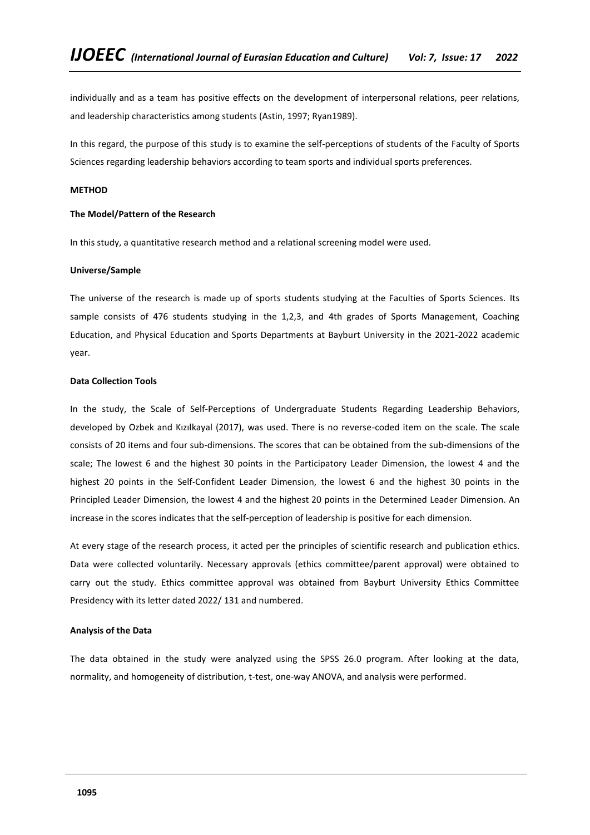individually and as a team has positive effects on the development of interpersonal relations, peer relations, and leadership characteristics among students (Astin, 1997; Ryan1989).

In this regard, the purpose of this study is to examine the self-perceptions of students of the Faculty of Sports Sciences regarding leadership behaviors according to team sports and individual sports preferences.

# **METHOD**

## **The Model/Pattern of the Research**

In this study, a quantitative research method and a relational screening model were used.

## **Universe/Sample**

The universe of the research is made up of sports students studying at the Faculties of Sports Sciences. Its sample consists of 476 students studying in the 1,2,3, and 4th grades of Sports Management, Coaching Education, and Physical Education and Sports Departments at Bayburt University in the 2021-2022 academic year.

## **Data Collection Tools**

In the study, the Scale of Self-Perceptions of Undergraduate Students Regarding Leadership Behaviors, developed by Ozbek and Kızılkayal (2017), was used. There is no reverse-coded item on the scale. The scale consists of 20 items and four sub-dimensions. The scores that can be obtained from the sub-dimensions of the scale; The lowest 6 and the highest 30 points in the Participatory Leader Dimension, the lowest 4 and the highest 20 points in the Self-Confident Leader Dimension, the lowest 6 and the highest 30 points in the Principled Leader Dimension, the lowest 4 and the highest 20 points in the Determined Leader Dimension. An increase in the scores indicates that the self-perception of leadership is positive for each dimension.

At every stage of the research process, it acted per the principles of scientific research and publication ethics. Data were collected voluntarily. Necessary approvals (ethics committee/parent approval) were obtained to carry out the study. Ethics committee approval was obtained from Bayburt University Ethics Committee Presidency with its letter dated 2022/ 131 and numbered.

#### **Analysis of the Data**

The data obtained in the study were analyzed using the SPSS 26.0 program. After looking at the data, normality, and homogeneity of distribution, t-test, one-way ANOVA, and analysis were performed.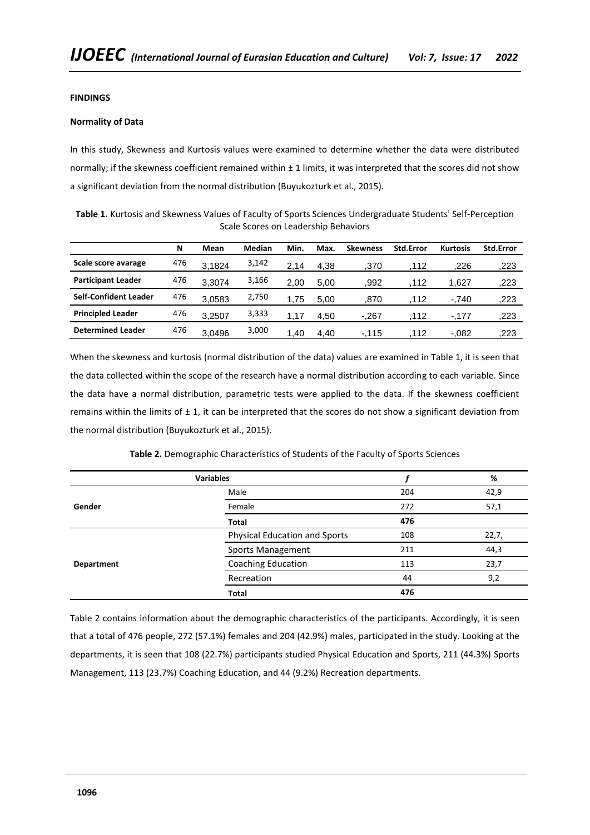# **FINDINGS**

## **Normality of Data**

In this study, Skewness and Kurtosis values were examined to determine whether the data were distributed normally; if the skewness coefficient remained within  $\pm$  1 limits, it was interpreted that the scores did not show a significant deviation from the normal distribution (Buyukozturk et al., 2015).

**Table 1.** Kurtosis and Skewness Values of Faculty of Sports Sciences Undergraduate Students' Self-Perception Scale Scores on Leadership Behaviors

|                              | N   | Mean   | Median | Min. | Max. | <b>Skewness</b> | <b>Std.Error</b> | <b>Kurtosis</b> | <b>Std.Error</b> |
|------------------------------|-----|--------|--------|------|------|-----------------|------------------|-----------------|------------------|
| Scale score avarage          | 476 | 3.1824 | 3,142  | 2.14 | 4.38 | .370            | .112             | .226            | .223             |
| <b>Participant Leader</b>    | 476 | 3.3074 | 3,166  | 2.00 | 5.00 | .992            | .112             | 1.627           | .223             |
| <b>Self-Confident Leader</b> | 476 | 3.0583 | 2,750  | .75  | 5.00 | .870            | .112             | $-.740$         | .223             |
| <b>Principled Leader</b>     | 476 | 3.2507 | 3,333  | .17  | 4.50 | $-.267$         | .112             | $-.177$         | .223             |
| <b>Determined Leader</b>     | 476 | 3.0496 | 3,000  | 1.40 | 4.40 | $-115$          | .112             | $-.082$         | .223             |

When the skewness and kurtosis (normal distribution of the data) values are examined in Table 1, it is seen that the data collected within the scope of the research have a normal distribution according to each variable. Since the data have a normal distribution, parametric tests were applied to the data. If the skewness coefficient remains within the limits of  $\pm$  1, it can be interpreted that the scores do not show a significant deviation from the normal distribution (Buyukozturk et al., 2015).

| Table 2. Demographic Characteristics of Students of the Faculty of Sports Sciences |  |  |  |
|------------------------------------------------------------------------------------|--|--|--|
|------------------------------------------------------------------------------------|--|--|--|

|            | <b>Variables</b>              |     | %     |
|------------|-------------------------------|-----|-------|
|            | Male                          | 204 | 42,9  |
| Gender     | Female                        | 272 | 57,1  |
|            | Total                         | 476 |       |
|            | Physical Education and Sports | 108 | 22,7, |
|            | <b>Sports Management</b>      | 211 | 44,3  |
| Department | Coaching Education            | 113 | 23,7  |
|            | Recreation                    | 44  | 9,2   |
|            | <b>Total</b>                  | 476 |       |

Table 2 contains information about the demographic characteristics of the participants. Accordingly, it is seen that a total of 476 people, 272 (57.1%) females and 204 (42.9%) males, participated in the study. Looking at the departments, it is seen that 108 (22.7%) participants studied Physical Education and Sports, 211 (44.3%) Sports Management, 113 (23.7%) Coaching Education, and 44 (9.2%) Recreation departments.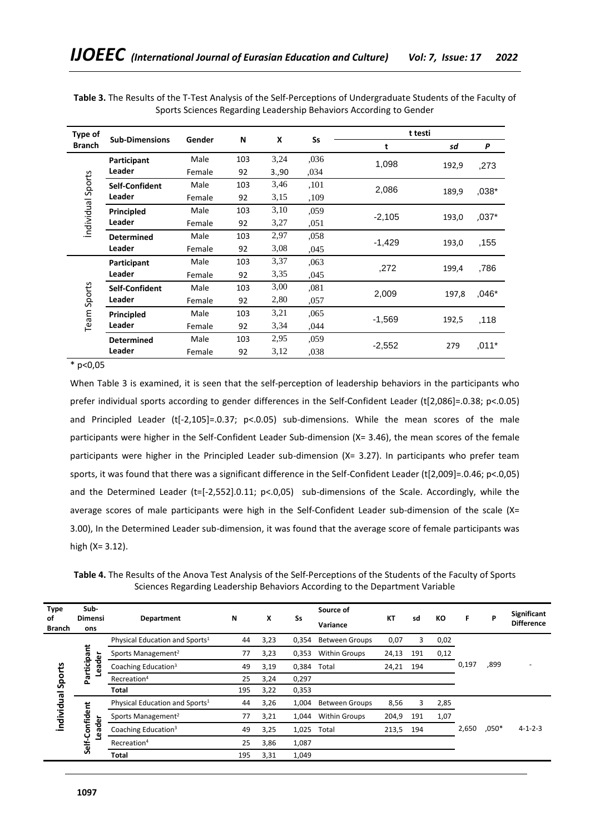| Type of           |                       |               |     |      |           | t testi  |       |          |
|-------------------|-----------------------|---------------|-----|------|-----------|----------|-------|----------|
| <b>Branch</b>     | <b>Sub-Dimensions</b> | <b>Gender</b> | N   | X    | <b>Ss</b> | t        | sd    | P        |
|                   | Participant           | Male          | 103 | 3,24 | ,036      | 1,098    |       |          |
|                   | Leader                | Female        | 92  | 3.90 | ,034      |          | 192,9 | ,273     |
|                   | Self-Confident        | Male          | 103 | 3,46 | ,101      | 2,086    |       | ,038*    |
|                   | Leader                | Female        | 92  | 3,15 | ,109      |          | 189,9 |          |
| Individual Sports | Principled            | Male          | 103 | 3,10 | ,059      | $-2,105$ |       |          |
|                   | Leader                | Female        | 92  | 3,27 | .051      |          | 193,0 | ,037*    |
|                   | <b>Determined</b>     | Male          | 103 | 2,97 | .058      | $-1,429$ |       | ,155     |
|                   | Leader                | Female        | 92  | 3,08 | ,045      |          | 193,0 |          |
|                   | Participant           | Male          | 103 | 3,37 | ,063      | ,272     | 199,4 | ,786     |
|                   | Leader                | Female        | 92  | 3,35 | ,045      |          |       |          |
|                   | Self-Confident        | Male          | 103 | 3,00 | ,081      | 2,009    | 197,8 | $0.046*$ |
| Sports            | Leader                | Female        | 92  | 2,80 | ,057      |          |       |          |
|                   | Principled            | Male          | 103 | 3,21 | .065      | $-1,569$ |       |          |
| Team              | Leader                | Female        | 92  | 3,34 | ,044      |          | 192,5 | ,118     |
|                   | <b>Determined</b>     | Male          | 103 | 2,95 | ,059      |          | 279   |          |
|                   | Leader                | Female        | 92  | 3,12 | .038      | $-2,552$ |       | $,011*$  |

**Table 3.** The Results of the T-Test Analysis of the Self-Perceptions of Undergraduate Students of the Faculty of Sports Sciences Regarding Leadership Behaviors According to Gender

 $*$  p<0.05

When Table 3 is examined, it is seen that the self-perception of leadership behaviors in the participants who prefer individual sports according to gender differences in the Self-Confident Leader (t[2,086]=.0.38; p<.0.05) and Principled Leader (t[-2,105]=.0.37; p<.0.05) sub-dimensions. While the mean scores of the male participants were higher in the Self-Confident Leader Sub-dimension (X= 3.46), the mean scores of the female participants were higher in the Principled Leader sub-dimension (X= 3.27). In participants who prefer team sports, it was found that there was a significant difference in the Self-Confident Leader (t[2,009]=.0.46; p<.0,05) and the Determined Leader (t=[-2,552].0.11; p<.0,05) sub-dimensions of the Scale. Accordingly, while the average scores of male participants were high in the Self-Confident Leader sub-dimension of the scale (X= 3.00), In the Determined Leader sub-dimension, it was found that the average score of female participants was high (X= 3.12).

**Table 4.** The Results of the Anova Test Analysis of the Self-Perceptions of the Students of the Faculty of Sports Sciences Regarding Leadership Behaviors According to the Department Variable

| Type<br>οf<br><b>Branch</b> | Sub-<br><b>Dimensi</b><br>ons | Department                                 | N   | X    | Ss    | Source of<br>Variance | <b>KT</b> | sd  | КO   | F     | P       | <b>Significant</b><br><b>Difference</b> |
|-----------------------------|-------------------------------|--------------------------------------------|-----|------|-------|-----------------------|-----------|-----|------|-------|---------|-----------------------------------------|
|                             |                               | Physical Education and Sports <sup>1</sup> | 44  | 3,23 | 0,354 | <b>Between Groups</b> | 0,07      | 3   | 0,02 |       |         |                                         |
|                             |                               | Sports Management <sup>2</sup>             | 77  | 3,23 | 0,353 | <b>Within Groups</b>  | 24,13     | 191 | 0,12 |       |         |                                         |
| Sports                      | Participant<br>eader          | Coaching Education <sup>3</sup>            | 49  | 3,19 | 0,384 | Total                 | 24,21     | 194 |      | 0,197 | ,899    |                                         |
|                             |                               | Recreation <sup>4</sup>                    | 25  | 3,24 | 0,297 |                       |           |     |      |       |         |                                         |
|                             |                               | Total                                      | 195 | 3,22 | 0,353 |                       |           |     |      |       |         |                                         |
|                             |                               | Physical Education and Sports <sup>1</sup> | 44  | 3,26 | 1,004 | <b>Between Groups</b> | 8,56      | 3   | 2,85 |       |         |                                         |
| <b>Individual</b>           | Self-Confident                | Sports Management <sup>2</sup>             | 77  | 3,21 | 1,044 | <b>Within Groups</b>  | 204,9     | 191 | 1,07 |       |         |                                         |
|                             | eader                         | Coaching Education <sup>3</sup>            | 49  | 3,25 | 1,025 | Total                 | 213,5     | 194 |      | 2,650 | $,050*$ | $4 - 1 - 2 - 3$                         |
|                             | ு                             | Recreation <sup>4</sup>                    | 25  | 3,86 | 1,087 |                       |           |     |      |       |         |                                         |
|                             |                               | Total                                      | 195 | 3,31 | 1,049 |                       |           |     |      |       |         |                                         |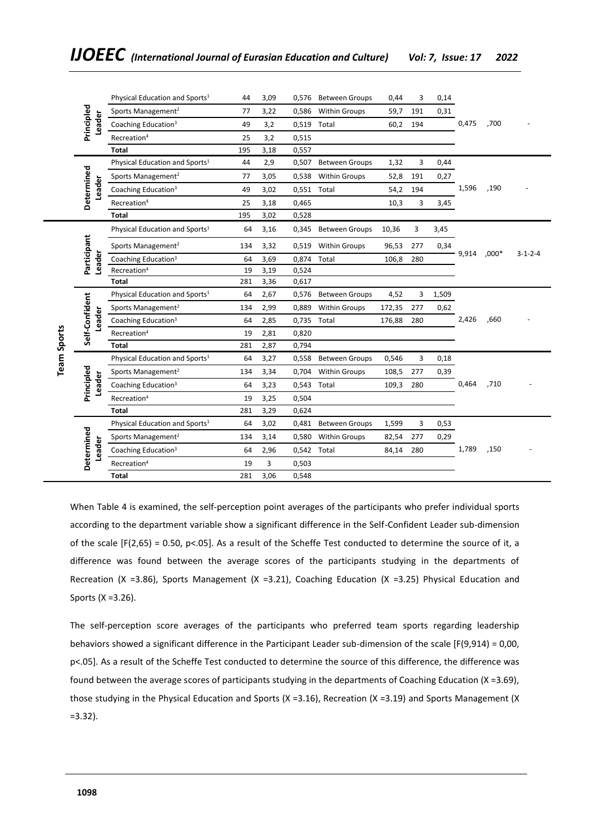|                    |             |        | Physical Education and Sports <sup>1</sup>                                                                                                                                                                                                                                                                                                                                                                                                                                                                                                                             | 44  | 3,09 | 0,576       | <b>Between Groups</b> | 0,44   | 3   | 0,14  |       |       |                 |
|--------------------|-------------|--------|------------------------------------------------------------------------------------------------------------------------------------------------------------------------------------------------------------------------------------------------------------------------------------------------------------------------------------------------------------------------------------------------------------------------------------------------------------------------------------------------------------------------------------------------------------------------|-----|------|-------------|-----------------------|--------|-----|-------|-------|-------|-----------------|
|                    |             |        | Sports Management <sup>2</sup>                                                                                                                                                                                                                                                                                                                                                                                                                                                                                                                                         | 77  | 3,22 | 0,586       | <b>Within Groups</b>  | 59,7   | 191 | 0,31  |       |       |                 |
|                    | Principled  | Leader | Coaching Education <sup>3</sup>                                                                                                                                                                                                                                                                                                                                                                                                                                                                                                                                        | 49  | 3,2  | 0,519       | Total                 | 60,2   | 194 |       | 0,475 | ,700  |                 |
|                    |             |        | Recreation <sup>4</sup>                                                                                                                                                                                                                                                                                                                                                                                                                                                                                                                                                | 25  | 3,2  | 0,515       |                       |        |     |       |       |       |                 |
|                    |             |        | Total                                                                                                                                                                                                                                                                                                                                                                                                                                                                                                                                                                  | 195 | 3,18 | 0,557       |                       |        |     |       |       |       |                 |
|                    |             |        | Physical Education and Sports <sup>1</sup>                                                                                                                                                                                                                                                                                                                                                                                                                                                                                                                             | 44  | 2,9  | 0,507       | <b>Between Groups</b> | 1,32   | 3   | 0,44  |       |       |                 |
|                    |             |        | Sports Management <sup>2</sup>                                                                                                                                                                                                                                                                                                                                                                                                                                                                                                                                         | 77  | 3,05 | 0,538       | Within Groups         | 52,8   | 191 | 0,27  |       |       |                 |
|                    | Determined  | Leader | Coaching Education <sup>3</sup>                                                                                                                                                                                                                                                                                                                                                                                                                                                                                                                                        | 49  | 3,02 | 0,551 Total |                       | 54,2   | 194 |       | 1,596 | ,190  |                 |
|                    |             |        | Recreation <sup>4</sup>                                                                                                                                                                                                                                                                                                                                                                                                                                                                                                                                                | 25  | 3,18 | 0,465       |                       | 10,3   | 3   | 3,45  |       |       |                 |
|                    |             |        | Total                                                                                                                                                                                                                                                                                                                                                                                                                                                                                                                                                                  | 195 | 3,02 | 0,528       |                       |        |     |       |       |       |                 |
|                    |             |        | Physical Education and Sports <sup>1</sup>                                                                                                                                                                                                                                                                                                                                                                                                                                                                                                                             | 64  | 3,16 | 0,345       | <b>Between Groups</b> | 10,36  | 3   | 3,45  |       |       |                 |
|                    |             |        | Sports Management <sup>2</sup>                                                                                                                                                                                                                                                                                                                                                                                                                                                                                                                                         | 134 | 3,32 | 0,519       | <b>Within Groups</b>  | 96,53  | 277 | 0,34  |       |       |                 |
|                    | Participant | Leader | Coaching Education <sup>3</sup>                                                                                                                                                                                                                                                                                                                                                                                                                                                                                                                                        | 64  | 3,69 | 0,874       | Total                 | 106,8  | 280 |       | 9,914 | ,000* | $3 - 1 - 2 - 4$ |
|                    |             |        | Recreation <sup>4</sup>                                                                                                                                                                                                                                                                                                                                                                                                                                                                                                                                                | 19  | 3,19 | 0,524       |                       |        |     |       |       |       |                 |
|                    |             |        | Total                                                                                                                                                                                                                                                                                                                                                                                                                                                                                                                                                                  | 281 | 3,36 | 0,617       |                       |        |     |       |       |       |                 |
| <b>Team Sports</b> |             |        | Physical Education and Sports <sup>1</sup>                                                                                                                                                                                                                                                                                                                                                                                                                                                                                                                             | 64  | 2,67 | 0,576       | <b>Between Groups</b> | 4,52   | 3   | 1,509 |       |       |                 |
|                    |             |        | Sports Management <sup>2</sup>                                                                                                                                                                                                                                                                                                                                                                                                                                                                                                                                         | 134 | 2,99 | 0,889       | <b>Within Groups</b>  | 172,35 | 277 | 0,62  |       | ,660  |                 |
| Self-Confident     |             | Leader | Coaching Education <sup>3</sup>                                                                                                                                                                                                                                                                                                                                                                                                                                                                                                                                        | 64  | 2,85 | 0,735       | Total                 | 176,88 | 280 |       | 2,426 |       |                 |
|                    |             |        | Recreation <sup>4</sup>                                                                                                                                                                                                                                                                                                                                                                                                                                                                                                                                                | 19  | 2,81 | 0,820       |                       |        |     |       |       |       |                 |
|                    |             |        | <b>Total</b>                                                                                                                                                                                                                                                                                                                                                                                                                                                                                                                                                           | 281 | 2,87 | 0,794       |                       |        |     |       |       |       |                 |
|                    |             |        | Physical Education and Sports <sup>1</sup>                                                                                                                                                                                                                                                                                                                                                                                                                                                                                                                             | 64  | 3,27 | 0,558       | <b>Between Groups</b> | 0,546  | 3   | 0,18  |       |       |                 |
|                    | Principled  |        | Sports Management <sup>2</sup>                                                                                                                                                                                                                                                                                                                                                                                                                                                                                                                                         | 134 | 3,34 | 0,704       | <b>Within Groups</b>  | 108,5  | 277 | 0,39  |       |       |                 |
|                    |             | Leader | Coaching Education <sup>3</sup>                                                                                                                                                                                                                                                                                                                                                                                                                                                                                                                                        | 64  | 3,23 | 0,543       | Total                 | 109,3  | 280 |       | 0,464 | ,710  |                 |
|                    |             |        | Recreation <sup>4</sup>                                                                                                                                                                                                                                                                                                                                                                                                                                                                                                                                                | 19  | 3,25 | 0,504       |                       |        |     |       |       |       |                 |
|                    |             |        | <b>Total</b>                                                                                                                                                                                                                                                                                                                                                                                                                                                                                                                                                           | 281 | 3,29 | 0,624       |                       |        |     |       |       |       |                 |
|                    |             |        | Physical Education and Sports $1$                                                                                                                                                                                                                                                                                                                                                                                                                                                                                                                                      | 64  | 3,02 | 0,481       | <b>Between Groups</b> | 1,599  | 3   | 0,53  |       |       |                 |
|                    |             |        | Sports Management <sup>2</sup><br>Coaching Education <sup>3</sup>                                                                                                                                                                                                                                                                                                                                                                                                                                                                                                      | 134 | 3,14 | 0,580       | <b>Within Groups</b>  | 82,54  | 277 | 0,29  | 1,789 |       |                 |
|                    |             |        |                                                                                                                                                                                                                                                                                                                                                                                                                                                                                                                                                                        | 64  | 2,96 | 0,542       | Total                 | 84,14  | 280 |       |       | ,150  |                 |
|                    |             |        |                                                                                                                                                                                                                                                                                                                                                                                                                                                                                                                                                                        |     |      |             |                       |        |     |       |       |       |                 |
|                    | Determined  | Leader | Recreation <sup>4</sup>                                                                                                                                                                                                                                                                                                                                                                                                                                                                                                                                                | 19  | 3    | 0,503       |                       |        |     |       |       |       |                 |
|                    |             |        | <b>Total</b>                                                                                                                                                                                                                                                                                                                                                                                                                                                                                                                                                           | 281 | 3,06 | 0,548       |                       |        |     |       |       |       |                 |
|                    |             |        | When Table 4 is examined, the self-perception point averages of the participants who prefer individual sports<br>according to the department variable show a significant difference in the Self-Confident Leader sub-dimension<br>of the scale $[F(2,65) = 0.50, p<0.05]$ . As a result of the Scheffe Test conducted to determine the source of it, a<br>difference was found between the average scores of the participants studying in the departments of<br>Recreation (X =3.86), Sports Management (X =3.21), Coaching Education (X =3.25) Physical Education and |     |      |             |                       |        |     |       |       |       |                 |
|                    |             |        | Sports $(X = 3.26)$ .<br>The self-perception score averages of the participants who preferred team sports regarding leadership                                                                                                                                                                                                                                                                                                                                                                                                                                         |     |      |             |                       |        |     |       |       |       |                 |
|                    |             |        |                                                                                                                                                                                                                                                                                                                                                                                                                                                                                                                                                                        |     |      |             |                       |        |     |       |       |       |                 |
|                    |             |        | behaviors showed a significant difference in the Participant Leader sub-dimension of the scale $[F(9,914) = 0,00,$                                                                                                                                                                                                                                                                                                                                                                                                                                                     |     |      |             |                       |        |     |       |       |       |                 |
|                    |             |        | p<.05]. As a result of the Scheffe Test conducted to determine the source of this difference, the difference was                                                                                                                                                                                                                                                                                                                                                                                                                                                       |     |      |             |                       |        |     |       |       |       |                 |
|                    |             |        | found between the average scores of participants studying in the departments of Coaching Education (X =3.69),                                                                                                                                                                                                                                                                                                                                                                                                                                                          |     |      |             |                       |        |     |       |       |       |                 |
|                    |             |        |                                                                                                                                                                                                                                                                                                                                                                                                                                                                                                                                                                        |     |      |             |                       |        |     |       |       |       |                 |
|                    |             |        | those studying in the Physical Education and Sports (X = 3.16), Recreation (X = 3.19) and Sports Management (X                                                                                                                                                                                                                                                                                                                                                                                                                                                         |     |      |             |                       |        |     |       |       |       |                 |
|                    | $=3.32$ ).  |        |                                                                                                                                                                                                                                                                                                                                                                                                                                                                                                                                                                        |     |      |             |                       |        |     |       |       |       |                 |
|                    |             |        |                                                                                                                                                                                                                                                                                                                                                                                                                                                                                                                                                                        |     |      |             |                       |        |     |       |       |       |                 |
|                    |             |        |                                                                                                                                                                                                                                                                                                                                                                                                                                                                                                                                                                        |     |      |             |                       |        |     |       |       |       |                 |
|                    |             |        |                                                                                                                                                                                                                                                                                                                                                                                                                                                                                                                                                                        |     |      |             |                       |        |     |       |       |       |                 |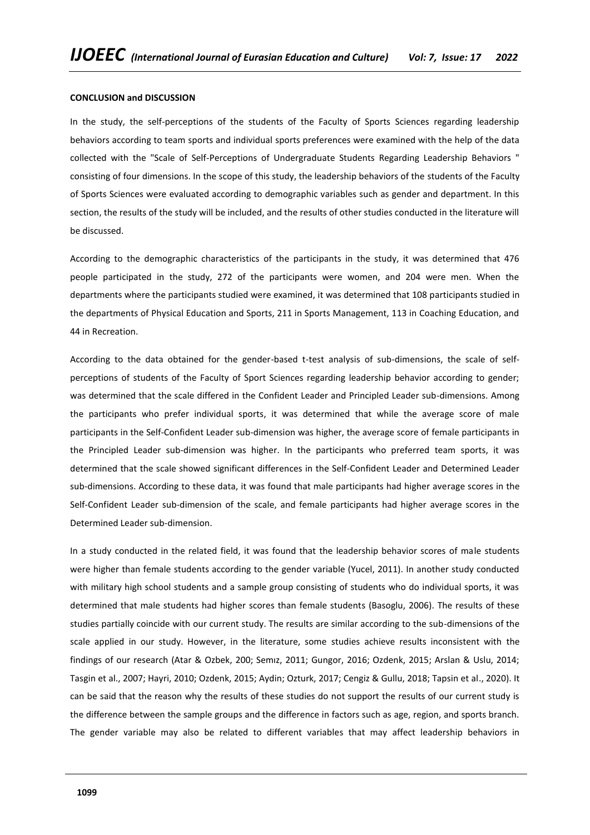## **CONCLUSION and DISCUSSION**

In the study, the self-perceptions of the students of the Faculty of Sports Sciences regarding leadership behaviors according to team sports and individual sports preferences were examined with the help of the data collected with the "Scale of Self-Perceptions of Undergraduate Students Regarding Leadership Behaviors " consisting of four dimensions. In the scope of this study, the leadership behaviors of the students of the Faculty of Sports Sciences were evaluated according to demographic variables such as gender and department. In this section, the results of the study will be included, and the results of other studies conducted in the literature will be discussed.

According to the demographic characteristics of the participants in the study, it was determined that 476 people participated in the study, 272 of the participants were women, and 204 were men. When the departments where the participants studied were examined, it was determined that 108 participants studied in the departments of Physical Education and Sports, 211 in Sports Management, 113 in Coaching Education, and 44 in Recreation.

According to the data obtained for the gender-based t-test analysis of sub-dimensions, the scale of selfperceptions of students of the Faculty of Sport Sciences regarding leadership behavior according to gender; was determined that the scale differed in the Confident Leader and Principled Leader sub-dimensions. Among the participants who prefer individual sports, it was determined that while the average score of male participants in the Self-Confident Leader sub-dimension was higher, the average score of female participants in the Principled Leader sub-dimension was higher. In the participants who preferred team sports, it was determined that the scale showed significant differences in the Self-Confident Leader and Determined Leader sub-dimensions. According to these data, it was found that male participants had higher average scores in the Self-Confident Leader sub-dimension of the scale, and female participants had higher average scores in the Determined Leader sub-dimension.

In a study conducted in the related field, it was found that the leadership behavior scores of male students were higher than female students according to the gender variable (Yucel, 2011). In another study conducted with military high school students and a sample group consisting of students who do individual sports, it was determined that male students had higher scores than female students (Basoglu, 2006). The results of these studies partially coincide with our current study. The results are similar according to the sub-dimensions of the scale applied in our study. However, in the literature, some studies achieve results inconsistent with the findings of our research (Atar & Ozbek, 200; Semız, 2011; Gungor, 2016; Ozdenk, 2015; Arslan & Uslu, 2014; Tasgin et al., 2007; Hayri, 2010; Ozdenk, 2015; Aydin; Ozturk, 2017; Cengiz & Gullu, 2018; Tapsin et al., 2020). It can be said that the reason why the results of these studies do not support the results of our current study is the difference between the sample groups and the difference in factors such as age, region, and sports branch. The gender variable may also be related to different variables that may affect leadership behaviors in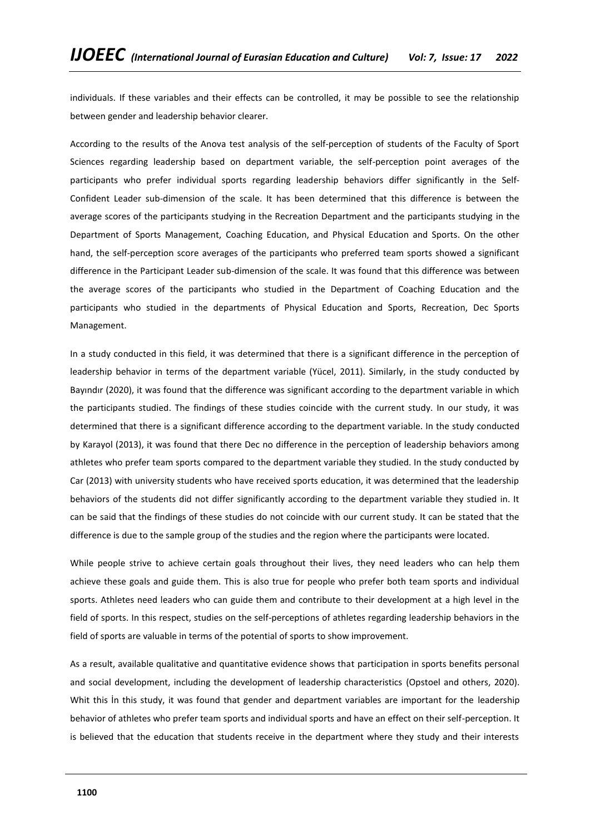individuals. If these variables and their effects can be controlled, it may be possible to see the relationship between gender and leadership behavior clearer.

According to the results of the Anova test analysis of the self-perception of students of the Faculty of Sport Sciences regarding leadership based on department variable, the self-perception point averages of the participants who prefer individual sports regarding leadership behaviors differ significantly in the Self-Confident Leader sub-dimension of the scale. It has been determined that this difference is between the average scores of the participants studying in the Recreation Department and the participants studying in the Department of Sports Management, Coaching Education, and Physical Education and Sports. On the other hand, the self-perception score averages of the participants who preferred team sports showed a significant difference in the Participant Leader sub-dimension of the scale. It was found that this difference was between the average scores of the participants who studied in the Department of Coaching Education and the participants who studied in the departments of Physical Education and Sports, Recreation, Dec Sports Management.

In a study conducted in this field, it was determined that there is a significant difference in the perception of leadership behavior in terms of the department variable (Yücel, 2011). Similarly, in the study conducted by Bayındır (2020), it was found that the difference was significant according to the department variable in which the participants studied. The findings of these studies coincide with the current study. In our study, it was determined that there is a significant difference according to the department variable. In the study conducted by Karayol (2013), it was found that there Dec no difference in the perception of leadership behaviors among athletes who prefer team sports compared to the department variable they studied. In the study conducted by Car (2013) with university students who have received sports education, it was determined that the leadership behaviors of the students did not differ significantly according to the department variable they studied in. It can be said that the findings of these studies do not coincide with our current study. It can be stated that the difference is due to the sample group of the studies and the region where the participants were located.

While people strive to achieve certain goals throughout their lives, they need leaders who can help them achieve these goals and guide them. This is also true for people who prefer both team sports and individual sports. Athletes need leaders who can guide them and contribute to their development at a high level in the field of sports. In this respect, studies on the self-perceptions of athletes regarding leadership behaviors in the field of sports are valuable in terms of the potential of sports to show improvement.

As a result, available qualitative and quantitative evidence shows that participation in sports benefits personal and social development, including the development of leadership characteristics (Opstoel and others, 2020). Whit this In this study, it was found that gender and department variables are important for the leadership behavior of athletes who prefer team sports and individual sports and have an effect on their self-perception. It is believed that the education that students receive in the department where they study and their interests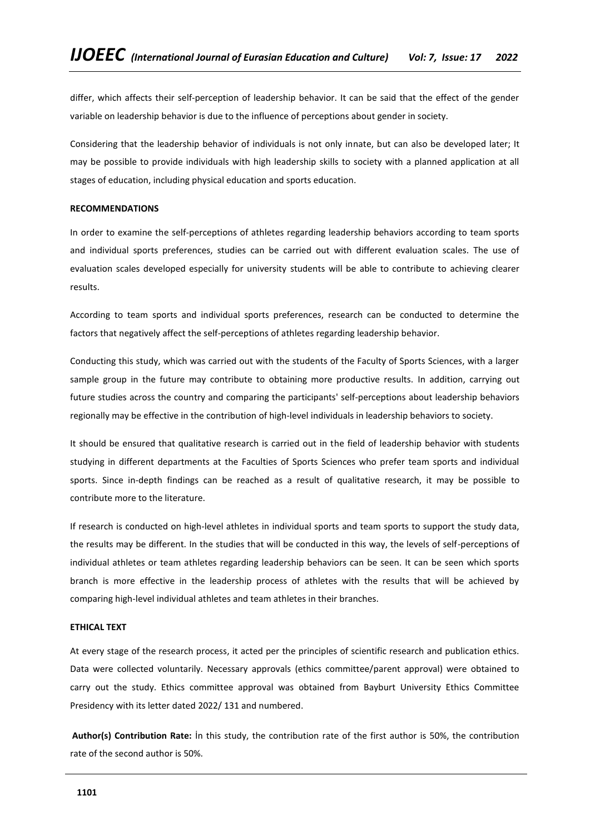differ, which affects their self-perception of leadership behavior. It can be said that the effect of the gender variable on leadership behavior is due to the influence of perceptions about gender in society.

Considering that the leadership behavior of individuals is not only innate, but can also be developed later; It may be possible to provide individuals with high leadership skills to society with a planned application at all stages of education, including physical education and sports education.

## **RECOMMENDATIONS**

In order to examine the self-perceptions of athletes regarding leadership behaviors according to team sports and individual sports preferences, studies can be carried out with different evaluation scales. The use of evaluation scales developed especially for university students will be able to contribute to achieving clearer results.

According to team sports and individual sports preferences, research can be conducted to determine the factors that negatively affect the self-perceptions of athletes regarding leadership behavior.

Conducting this study, which was carried out with the students of the Faculty of Sports Sciences, with a larger sample group in the future may contribute to obtaining more productive results. In addition, carrying out future studies across the country and comparing the participants' self-perceptions about leadership behaviors regionally may be effective in the contribution of high-level individuals in leadership behaviors to society.

It should be ensured that qualitative research is carried out in the field of leadership behavior with students studying in different departments at the Faculties of Sports Sciences who prefer team sports and individual sports. Since in-depth findings can be reached as a result of qualitative research, it may be possible to contribute more to the literature.

If research is conducted on high-level athletes in individual sports and team sports to support the study data, the results may be different. In the studies that will be conducted in this way, the levels of self-perceptions of individual athletes or team athletes regarding leadership behaviors can be seen. It can be seen which sports branch is more effective in the leadership process of athletes with the results that will be achieved by comparing high-level individual athletes and team athletes in their branches.

# **ETHICAL TEXT**

At every stage of the research process, it acted per the principles of scientific research and publication ethics. Data were collected voluntarily. Necessary approvals (ethics committee/parent approval) were obtained to carry out the study. Ethics committee approval was obtained from Bayburt University Ethics Committee Presidency with its letter dated 2022/ 131 and numbered.

**Author(s) Contribution Rate:** İn this study, the contribution rate of the first author is 50%, the contribution rate of the second author is 50%.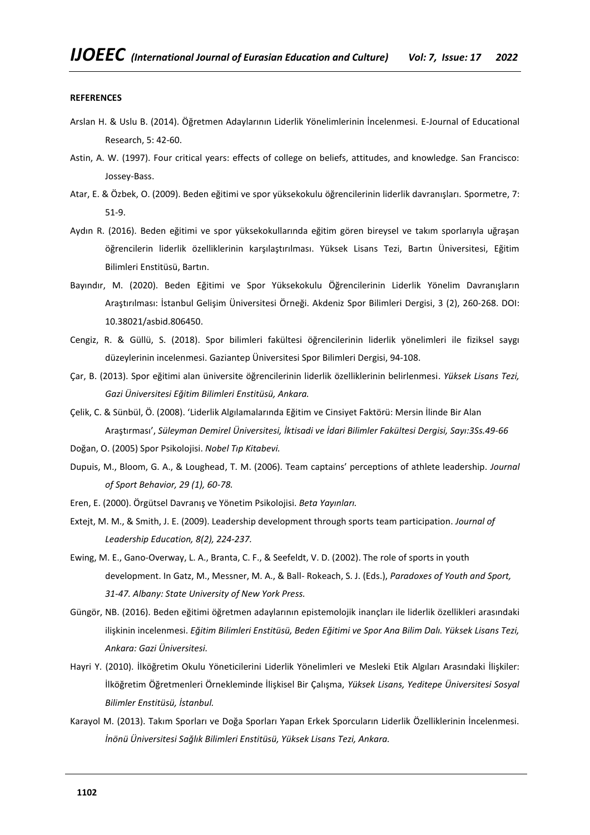#### **REFERENCES**

- Arslan H. & Uslu B. (2014). Öğretmen Adaylarının Liderlik Yönelimlerinin İncelenmesi. E-Journal of Educational Research, 5: 42-60.
- Astin, A. W. (1997). Four critical years: effects of college on beliefs, attitudes, and knowledge. San Francisco: Jossey-Bass.
- Atar, E. & Özbek, O. (2009). Beden eğitimi ve spor yüksekokulu öğrencilerinin liderlik davranışları. Spormetre, 7: 51-9.
- Aydın R. (2016). Beden eğitimi ve spor yüksekokullarında eğitim gören bireysel ve takım sporlarıyla uğraşan öğrencilerin liderlik özelliklerinin karşılaştırılması. Yüksek Lisans Tezi, Bartın Üniversitesi, Eğitim Bilimleri Enstitüsü, Bartın.
- Bayındır, M. (2020). Beden Eğitimi ve Spor Yüksekokulu Öğrencilerinin Liderlik Yönelim Davranışların Araştırılması: İstanbul Gelişim Üniversitesi Örneği. Akdeniz Spor Bilimleri Dergisi, 3 (2), 260-268. DOI: 10.38021/asbid.806450.
- Cengiz, R. & Güllü, S. (2018). Spor bilimleri fakültesi öğrencilerinin liderlik yönelimleri ile fiziksel saygı düzeylerinin incelenmesi. Gaziantep Üniversitesi Spor Bilimleri Dergisi, 94-108.
- Çar, B. (2013). Spor eğitimi alan üniversite öğrencilerinin liderlik özelliklerinin belirlenmesi. *Yüksek Lisans Tezi, Gazi Üniversitesi Eğitim Bilimleri Enstitüsü, Ankara.*
- Çelik, C. & Sünbül, Ö. (2008). 'Liderlik Algılamalarında Eğitim ve Cinsiyet Faktörü: Mersin İlinde Bir Alan Araştırması', *Süleyman Demirel Üniversitesi, İktisadi ve İdari Bilimler Fakültesi Dergisi, Sayı:3Ss.49-66*
- Doğan, O. (2005) Spor Psikolojisi. *Nobel Tıp Kitabevi.*
- Dupuis, M., Bloom, G. A., & Loughead, T. M. (2006). Team captains' perceptions of athlete leadership. *Journal of Sport Behavior, 29 (1), 60-78.*
- Eren, E. (2000). Örgütsel Davranış ve Yönetim Psikolojisi. *Beta Yayınları.*
- Extejt, M. M., & Smith, J. E. (2009). Leadership development through sports team participation. *Journal of Leadership Education, 8(2), 224-237.*
- Ewing, M. E., Gano-Overway, L. A., Branta, C. F., & Seefeldt, V. D. (2002). The role of sports in youth development. In Gatz, M., Messner, M. A., & Ball- Rokeach, S. J. (Eds.), *Paradoxes of Youth and Sport, 31-47. Albany: State University of New York Press.*
- Güngör, NB. (2016). Beden eğitimi öğretmen adaylarının epistemolojik inançları ile liderlik özellikleri arasındaki ilişkinin incelenmesi. *Eğitim Bilimleri Enstitüsü, Beden Eğitimi ve Spor Ana Bilim Dalı. Yüksek Lisans Tezi, Ankara: Gazi Üniversitesi.*
- Hayri Y. (2010). İlköğretim Okulu Yöneticilerini Liderlik Yönelimleri ve Mesleki Etik Algıları Arasındaki İlişkiler: İlköğretim Öğretmenleri Örnekleminde İlişkisel Bir Çalışma, *Yüksek Lisans, Yeditepe Üniversitesi Sosyal Bilimler Enstitüsü, İstanbul.*
- Karayol M. (2013). Takım Sporları ve Doğa Sporları Yapan Erkek Sporcuların Liderlik Özelliklerinin İncelenmesi. *İnönü Üniversitesi Sağlık Bilimleri Enstitüsü, Yüksek Lisans Tezi, Ankara.*